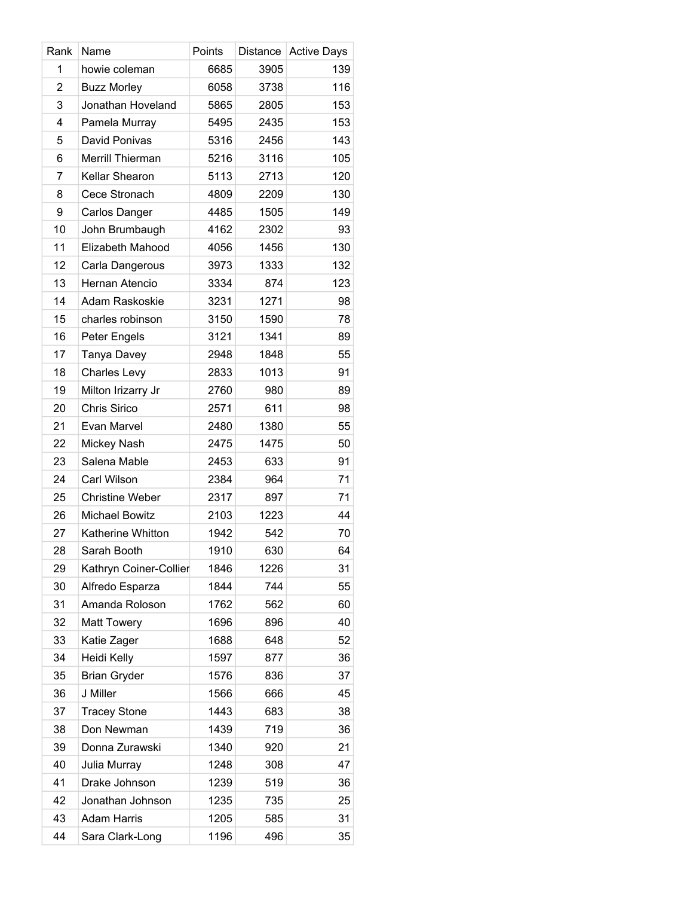| Rank           | Name                   | Points | Distance | <b>Active Days</b> |
|----------------|------------------------|--------|----------|--------------------|
| 1              | howie coleman          | 6685   | 3905     | 139                |
| $\overline{2}$ | <b>Buzz Morley</b>     | 6058   | 3738     | 116                |
| 3              | Jonathan Hoveland      | 5865   | 2805     | 153                |
| 4              | Pamela Murray          | 5495   | 2435     | 153                |
| 5              | David Ponivas          | 5316   | 2456     | 143                |
| 6              | Merrill Thierman       | 5216   | 3116     | 105                |
| 7              | Kellar Shearon         | 5113   | 2713     | 120                |
| 8              | Cece Stronach          | 4809   | 2209     | 130                |
| 9              | Carlos Danger          | 4485   | 1505     | 149                |
| 10             | John Brumbaugh         | 4162   | 2302     | 93                 |
| 11             | Elizabeth Mahood       | 4056   | 1456     | 130                |
| 12             | Carla Dangerous        | 3973   | 1333     | 132                |
| 13             | Hernan Atencio         | 3334   | 874      | 123                |
| 14             | Adam Raskoskie         | 3231   | 1271     | 98                 |
| 15             | charles robinson       | 3150   | 1590     | 78                 |
| 16             | Peter Engels           | 3121   | 1341     | 89                 |
| 17             | Tanya Davey            | 2948   | 1848     | 55                 |
| 18             | <b>Charles Levy</b>    | 2833   | 1013     | 91                 |
| 19             | Milton Irizarry Jr     | 2760   | 980      | 89                 |
| 20             | Chris Sirico           | 2571   | 611      | 98                 |
| 21             | Evan Marvel            | 2480   | 1380     | 55                 |
| 22             | Mickey Nash            | 2475   | 1475     | 50                 |
| 23             | Salena Mable           | 2453   | 633      | 91                 |
| 24             | Carl Wilson            | 2384   | 964      | 71                 |
| 25             | <b>Christine Weber</b> | 2317   | 897      | 71                 |
| 26             | <b>Michael Bowitz</b>  | 2103   | 1223     | 44                 |
| 27             | Katherine Whitton      | 1942   | 542      | 70                 |
| 28             | Sarah Booth            | 1910   | 630      | 64                 |
| 29             | Kathryn Coiner-Collier | 1846   | 1226     | 31                 |
| 30             | Alfredo Esparza        | 1844   | 744      | 55                 |
| 31             | Amanda Roloson         | 1762   | 562      | 60                 |
| 32             | <b>Matt Towery</b>     | 1696   | 896      | 40                 |
| 33             | Katie Zager            | 1688   | 648      | 52                 |
| 34             | Heidi Kelly            | 1597   | 877      | 36                 |
| 35             | <b>Brian Gryder</b>    | 1576   | 836      | 37                 |
| 36             | J Miller               | 1566   | 666      | 45                 |
| 37             | <b>Tracey Stone</b>    | 1443   | 683      | 38                 |
| 38             | Don Newman             | 1439   | 719      | 36                 |
| 39             | Donna Zurawski         | 1340   | 920      | 21                 |
| 40             | Julia Murray           | 1248   | 308      | 47                 |
| 41             | Drake Johnson          | 1239   | 519      | 36                 |
| 42             | Jonathan Johnson       | 1235   | 735      | 25                 |
| 43             | <b>Adam Harris</b>     | 1205   | 585      | 31                 |
| 44             | Sara Clark-Long        | 1196   | 496      | 35                 |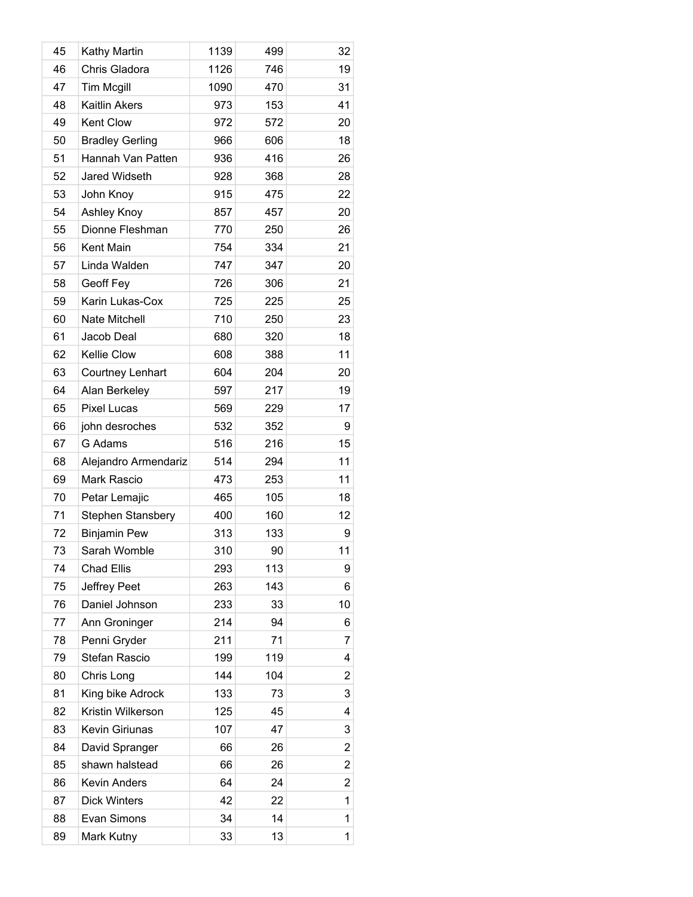| 45 | Kathy Martin             | 1139 | 499 | 32             |
|----|--------------------------|------|-----|----------------|
| 46 | Chris Gladora            | 1126 | 746 | 19             |
| 47 | <b>Tim Mcgill</b>        | 1090 | 470 | 31             |
| 48 | <b>Kaitlin Akers</b>     | 973  | 153 | 41             |
| 49 | Kent Clow                | 972  | 572 | 20             |
| 50 | <b>Bradley Gerling</b>   | 966  | 606 | 18             |
| 51 | Hannah Van Patten        | 936  | 416 | 26             |
| 52 | Jared Widseth            | 928  | 368 | 28             |
| 53 | John Knoy                | 915  | 475 | 22             |
| 54 | Ashley Knoy              | 857  | 457 | 20             |
| 55 | Dionne Fleshman          | 770  | 250 | 26             |
| 56 | Kent Main                | 754  | 334 | 21             |
| 57 | Linda Walden             | 747  | 347 | 20             |
| 58 | Geoff Fey                | 726  | 306 | 21             |
| 59 | Karin Lukas-Cox          | 725  | 225 | 25             |
| 60 | <b>Nate Mitchell</b>     | 710  | 250 | 23             |
| 61 | Jacob Deal               | 680  | 320 | 18             |
| 62 | Kellie Clow              | 608  | 388 | 11             |
| 63 | Courtney Lenhart         | 604  | 204 | 20             |
| 64 | Alan Berkeley            | 597  | 217 | 19             |
| 65 | <b>Pixel Lucas</b>       | 569  | 229 | 17             |
| 66 | john desroches           | 532  | 352 | 9              |
| 67 | G Adams                  | 516  | 216 | 15             |
| 68 | Alejandro Armendariz     | 514  | 294 | 11             |
| 69 | Mark Rascio              | 473  | 253 | 11             |
| 70 | Petar Lemajic            | 465  | 105 | 18             |
| 71 | <b>Stephen Stansbery</b> | 400  | 160 | 12             |
| 72 | <b>Binjamin Pew</b>      | 313  | 133 | 9              |
| 73 | Sarah Womble             | 310  | 90  | 11             |
| 74 | Chad Ellis               | 293  | 113 | 9              |
| 75 | Jeffrey Peet             | 263  | 143 | 6              |
| 76 | Daniel Johnson           | 233  | 33  | 10             |
| 77 | Ann Groninger            | 214  | 94  | 6              |
| 78 | Penni Gryder             | 211  | 71  | $\overline{7}$ |
| 79 | Stefan Rascio            | 199  | 119 | 4              |
| 80 | Chris Long               | 144  | 104 | 2              |
| 81 | King bike Adrock         | 133  | 73  | 3              |
| 82 | Kristin Wilkerson        | 125  | 45  | 4              |
| 83 | Kevin Giriunas           | 107  | 47  | 3              |
| 84 | David Spranger           | 66   | 26  | 2              |
| 85 | shawn halstead           | 66   | 26  | 2              |
| 86 | <b>Kevin Anders</b>      | 64   | 24  | 2              |
| 87 | <b>Dick Winters</b>      | 42   | 22  | 1              |
| 88 | Evan Simons              | 34   | 14  | 1              |
| 89 | Mark Kutny               | 33   | 13  | 1              |